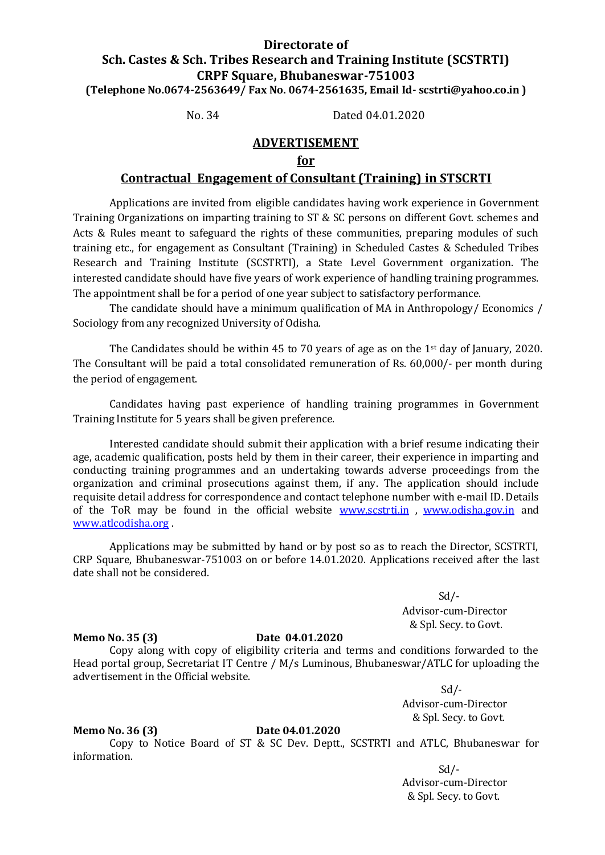## **Directorate of Sch. Castes & Sch. Tribes Research and Training Institute (SCSTRTI) CRPF Square, Bhubaneswar-751003 (Telephone No.0674-2563649/ Fax No. 0674-2561635, Email Id- scstrti@yahoo.co.in )**

No. 34 Dated 04.01.2020

## **ADVERTISEMENT**

## **for**

## **Contractual Engagement of Consultant (Training) in STSCRTI**

Applications are invited from eligible candidates having work experience in Government Training Organizations on imparting training to ST & SC persons on different Govt. schemes and Acts & Rules meant to safeguard the rights of these communities, preparing modules of such training etc., for engagement as Consultant (Training) in Scheduled Castes & Scheduled Tribes Research and Training Institute (SCSTRTI), a State Level Government organization. The interested candidate should have five years of work experience of handling training programmes. The appointment shall be for a period of one year subject to satisfactory performance.

The candidate should have a minimum qualification of MA in Anthropology/ Economics / Sociology from any recognized University of Odisha.

The Candidates should be within 45 to 70 years of age as on the  $1<sup>st</sup>$  day of January, 2020. The Consultant will be paid a total consolidated remuneration of Rs. 60,000/- per month during the period of engagement.

Candidates having past experience of handling training programmes in Government Training Institute for 5 years shall be given preference.

Interested candidate should submit their application with a brief resume indicating their age, academic qualification, posts held by them in their career, their experience in imparting and conducting training programmes and an undertaking towards adverse proceedings from the organization and criminal prosecutions against them, if any. The application should include requisite detail address for correspondence and contact telephone number with e-mail ID. Details of the ToR may be found in the official website [www.scstrti.in](http://www.scstrti.in/), [www.odisha.gov.in](http://www.odisha.gov.in/) and [www.atlcodisha.org](http://www.atlcodisha.org/) .

Applications may be submitted by hand or by post so as to reach the Director, SCSTRTI, CRP Square, Bhubaneswar-751003 on or before 14.01.2020. Applications received after the last date shall not be considered.

> $Sd$  /-Advisor-cum-Director & Spl. Secy. to Govt.

### **Memo No. 35 (3) Date 04.01.2020**

Copy along with copy of eligibility criteria and terms and conditions forwarded to the Head portal group, Secretariat IT Centre / M/s Luminous, Bhubaneswar/ATLC for uploading the advertisement in the Official website.

> $Sd$  /-Advisor-cum-Director & Spl. Secy. to Govt.

### **Memo No. 36 (3) Date 04.01.2020**

Copy to Notice Board of ST & SC Dev. Deptt., SCSTRTI and ATLC, Bhubaneswar for information.

> $Sd$  /-Advisor-cum-Director & Spl. Secy. to Govt.